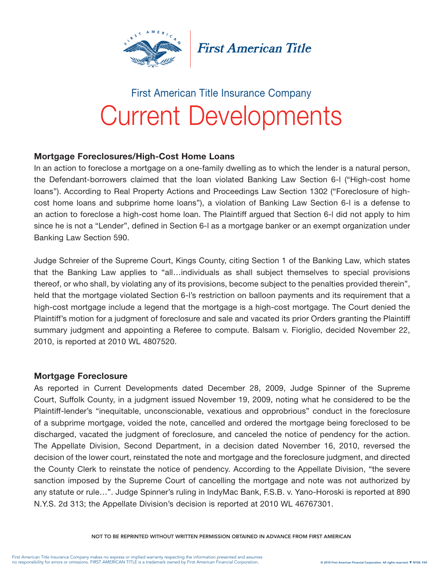

**First American Title** 

# Current Developments First American Title Insurance Company

# Mortgage Foreclosures/High-Cost Home Loans

In an action to foreclose a mortgage on a one-family dwelling as to which the lender is a natural person, the Defendant-borrowers claimed that the loan violated Banking Law Section 6-l ("High-cost home loans"). According to Real Property Actions and Proceedings Law Section 1302 ("Foreclosure of highcost home loans and subprime home loans"), a violation of Banking Law Section 6-l is a defense to an action to foreclose a high-cost home loan. The Plaintiff argued that Section 6-l did not apply to him since he is not a "Lender", defined in Section 6-l as a mortgage banker or an exempt organization under Banking Law Section 590.

Judge Schreier of the Supreme Court, Kings County, citing Section 1 of the Banking Law, which states that the Banking Law applies to "all…individuals as shall subject themselves to special provisions thereof, or who shall, by violating any of its provisions, become subject to the penalties provided therein", held that the mortgage violated Section 6-l's restriction on balloon payments and its requirement that a high-cost mortgage include a legend that the mortgage is a high-cost mortgage. The Court denied the Plaintiff's motion for a judgment of foreclosure and sale and vacated its prior Orders granting the Plaintiff summary judgment and appointing a Referee to compute. Balsam v. Fioriglio, decided November 22, 2010, is reported at 2010 WL 4807520.

## Mortgage Foreclosure

As reported in Current Developments dated December 28, 2009, Judge Spinner of the Supreme Court, Suffolk County, in a judgment issued November 19, 2009, noting what he considered to be the Plaintiff-lender's "inequitable, unconscionable, vexatious and opprobrious" conduct in the foreclosure of a subprime mortgage, voided the note, cancelled and ordered the mortgage being foreclosed to be discharged, vacated the judgment of foreclosure, and canceled the notice of pendency for the action. The Appellate Division, Second Department, in a decision dated November 16, 2010, reversed the decision of the lower court, reinstated the note and mortgage and the foreclosure judgment, and directed the County Clerk to reinstate the notice of pendency. According to the Appellate Division, "the severe sanction imposed by the Supreme Court of cancelling the mortgage and note was not authorized by any statute or rule…". Judge Spinner's ruling in IndyMac Bank, F.S.B. v. Yano-Horoski is reported at 890 N.Y.S. 2d 313; the Appellate Division's decision is reported at 2010 WL 46767301.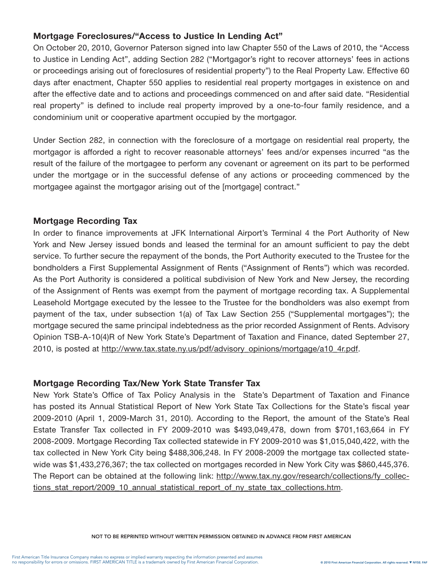# Mortgage Foreclosures/"Access to Justice In Lending Act"

On October 20, 2010, Governor Paterson signed into law Chapter 550 of the Laws of 2010, the "Access to Justice in Lending Act", adding Section 282 ("Mortgagor's right to recover attorneys' fees in actions or proceedings arising out of foreclosures of residential property") to the Real Property Law. Effective 60 days after enactment, Chapter 550 applies to residential real property mortgages in existence on and after the effective date and to actions and proceedings commenced on and after said date. "Residential real property" is defined to include real property improved by a one-to-four family residence, and a condominium unit or cooperative apartment occupied by the mortgagor.

Under Section 282, in connection with the foreclosure of a mortgage on residential real property, the mortgagor is afforded a right to recover reasonable attorneys' fees and/or expenses incurred "as the result of the failure of the mortgagee to perform any covenant or agreement on its part to be performed under the mortgage or in the successful defense of any actions or proceeding commenced by the mortgagee against the mortgagor arising out of the [mortgage] contract."

## Mortgage Recording Tax

In order to finance improvements at JFK International Airport's Terminal 4 the Port Authority of New York and New Jersey issued bonds and leased the terminal for an amount sufficient to pay the debt service. To further secure the repayment of the bonds, the Port Authority executed to the Trustee for the bondholders a First Supplemental Assignment of Rents ("Assignment of Rents") which was recorded. As the Port Authority is considered a political subdivision of New York and New Jersey, the recording of the Assignment of Rents was exempt from the payment of mortgage recording tax. A Supplemental Leasehold Mortgage executed by the lessee to the Trustee for the bondholders was also exempt from payment of the tax, under subsection 1(a) of Tax Law Section 255 ("Supplemental mortgages"); the mortgage secured the same principal indebtedness as the prior recorded Assignment of Rents. Advisory Opinion TSB-A-10(4)R of New York State's Department of Taxation and Finance, dated September 27, 2010, is posted at http://www.tax.state.ny.us/pdf/advisory\_opinions/mortgage/a10\_4r.pdf.

## Mortgage Recording Tax/New York State Transfer Tax

New York State's Office of Tax Policy Analysis in the State's Department of Taxation and Finance has posted its Annual Statistical Report of New York State Tax Collections for the State's fiscal year 2009-2010 (April 1, 2009-March 31, 2010). According to the Report, the amount of the State's Real Estate Transfer Tax collected in FY 2009-2010 was \$493,049,478, down from \$701,163,664 in FY 2008-2009. Mortgage Recording Tax collected statewide in FY 2009-2010 was \$1,015,040,422, with the tax collected in New York City being \$488,306,248. In FY 2008-2009 the mortgage tax collected statewide was \$1,433,276,367; the tax collected on mortgages recorded in New York City was \$860,445,376. The Report can be obtained at the following link: http://www.tax.ny.gov/research/collections/fy\_collections stat report/2009 10 annual statistical report of ny state tax collections.htm.